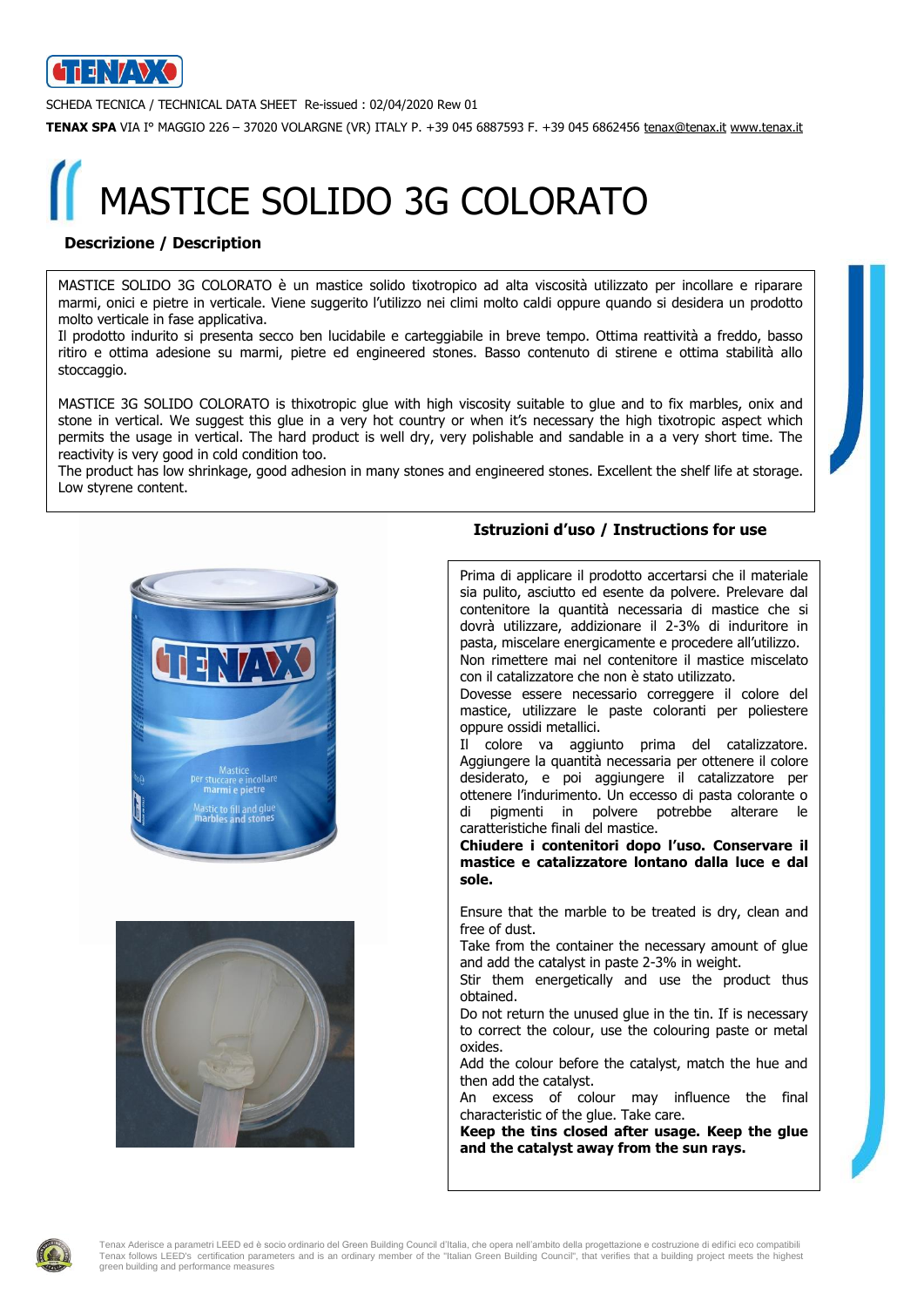

SCHEDA TECNICA / TECHNICAL DATA SHEET Re-issued : 02/04/2020 Rew 01

**TENAX SPA** VIA I° MAGGIO 226 – 37020 VOLARGNE (VR) ITALY P. +39 045 6887593 F. +39 045 6862456 [tenax@tenax.it](mailto:tenax@tenax.it) [www.tenax.it](http://www.tenax.it/)

# MASTICE SOLIDO 3G COLORATO

### **Descrizione / Description**

MASTICE SOLIDO 3G COLORATO è un mastice solido tixotropico ad alta viscosità utilizzato per incollare e riparare marmi, onici e pietre in verticale. Viene suggerito l'utilizzo nei climi molto caldi oppure quando si desidera un prodotto molto verticale in fase applicativa.

Il prodotto indurito si presenta secco ben lucidabile e carteggiabile in breve tempo. Ottima reattività a freddo, basso ritiro e ottima adesione su marmi, pietre ed engineered stones. Basso contenuto di stirene e ottima stabilità allo stoccaggio.

MASTICE 3G SOLIDO COLORATO is thixotropic glue with high viscosity suitable to glue and to fix marbles, onix and stone in vertical. We suggest this glue in a very hot country or when it's necessary the high tixotropic aspect which permits the usage in vertical. The hard product is well dry, very polishable and sandable in a a very short time. The reactivity is very good in cold condition too.

The product has low shrinkage, good adhesion in many stones and engineered stones. Excellent the shelf life at storage. Low styrene content.





### **Istruzioni d'uso / Instructions for use**

Prima di applicare il prodotto accertarsi che il materiale sia pulito, asciutto ed esente da polvere. Prelevare dal contenitore la quantità necessaria di mastice che si dovrà utilizzare, addizionare il 2-3% di induritore in pasta, miscelare energicamente e procedere all'utilizzo. Non rimettere mai nel contenitore il mastice miscelato con il catalizzatore che non è stato utilizzato. Dovesse essere necessario correggere il colore del mastice, utilizzare le paste coloranti per poliestere oppure ossidi metallici. Il colore va aggiunto prima del catalizzatore. Aggiungere la quantità necessaria per ottenere il colore

desiderato, e poi aggiungere il catalizzatore per ottenere l'indurimento. Un eccesso di pasta colorante o di pigmenti in polvere potrebbe alterare le caratteristiche finali del mastice.

**Chiudere i contenitori dopo l'uso. Conservare il mastice e catalizzatore lontano dalla luce e dal sole.**

Ensure that the marble to be treated is dry, clean and free of dust.

Take from the container the necessary amount of glue and add the catalyst in paste 2-3% in weight.

Stir them energetically and use the product thus obtained.

Do not return the unused glue in the tin. If is necessary to correct the colour, use the colouring paste or metal oxides.

Add the colour before the catalyst, match the hue and then add the catalyst.

An excess of colour may influence the final characteristic of the glue. Take care.

**Keep the tins closed after usage. Keep the glue and the catalyst away from the sun rays.**